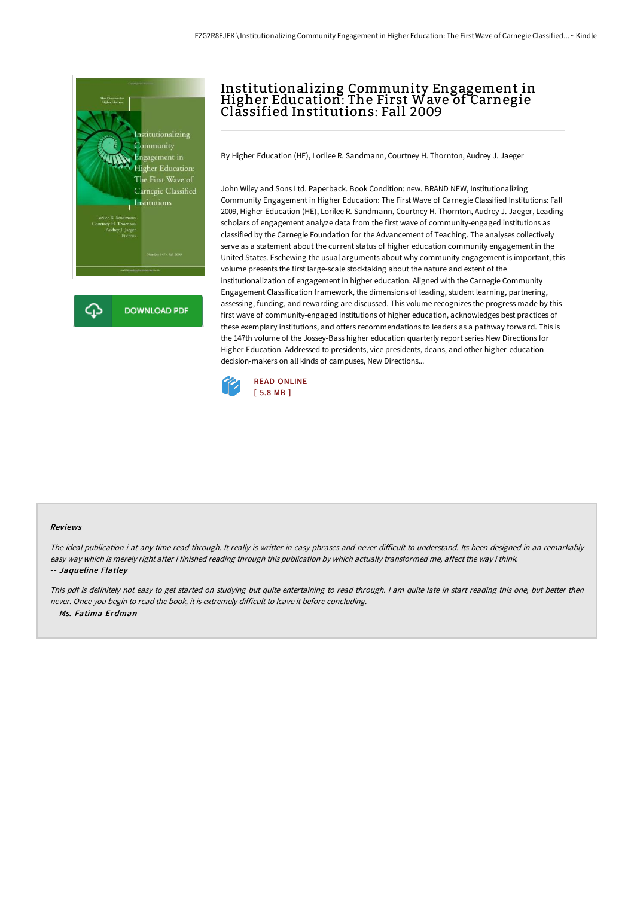

## Institutionalizing Community Engagement in Higher Education: The First Wave of Carnegie Classified Institutions: Fall 2009

By Higher Education (HE), Lorilee R. Sandmann, Courtney H. Thornton, Audrey J. Jaeger

John Wiley and Sons Ltd. Paperback. Book Condition: new. BRAND NEW, Institutionalizing Community Engagement in Higher Education: The First Wave of Carnegie Classified Institutions: Fall 2009, Higher Education (HE), Lorilee R. Sandmann, Courtney H. Thornton, Audrey J. Jaeger, Leading scholars of engagement analyze data from the first wave of community-engaged institutions as classified by the Carnegie Foundation for the Advancement of Teaching. The analyses collectively serve as a statement about the current status of higher education community engagement in the United States. Eschewing the usual arguments about why community engagement is important, this volume presents the first large-scale stocktaking about the nature and extent of the institutionalization of engagement in higher education. Aligned with the Carnegie Community Engagement Classification framework, the dimensions of leading, student learning, partnering, assessing, funding, and rewarding are discussed. This volume recognizes the progress made by this first wave of community-engaged institutions of higher education, acknowledges best practices of these exemplary institutions, and offers recommendations to leaders as a pathway forward. This is the 147th volume of the Jossey-Bass higher education quarterly report series New Directions for Higher Education. Addressed to presidents, vice presidents, deans, and other higher-education decision-makers on all kinds of campuses, New Directions...



## Reviews

The ideal publication i at any time read through. It really is writter in easy phrases and never difficult to understand. Its been designed in an remarkably easy way which is merely right after i finished reading through this publication by which actually transformed me, affect the way i think. -- Jaqueline Flatley

This pdf is definitely not easy to get started on studying but quite entertaining to read through. <sup>I</sup> am quite late in start reading this one, but better then never. Once you begin to read the book, it is extremely difficult to leave it before concluding. -- Ms. Fatima Erdman